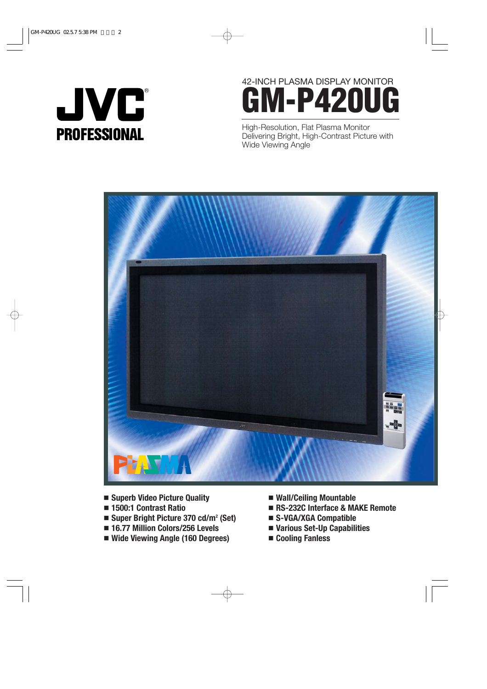

# 42-INCH PLASMA DISPLAY MONITOR **GM-P420UG**

High-Resolution, Flat Plasma Monitor Delivering Bright, High-Contrast Picture with Wide Viewing Angle



- **Superb Video Picture Quality**
- **1500:1 Contrast Ratio**
- **Super Bright Picture 370 cd/m2 (Set)**
- **16.77 Million Colors/256 Levels**
- **Wide Viewing Angle (160 Degrees)**
- **Wall/Ceiling Mountable**
- **RS-232C Interface & MAKE Remote**
- **S-VGA/XGA Compatible**
- **Various Set-Up Capabilities**
- **Cooling Fanless**